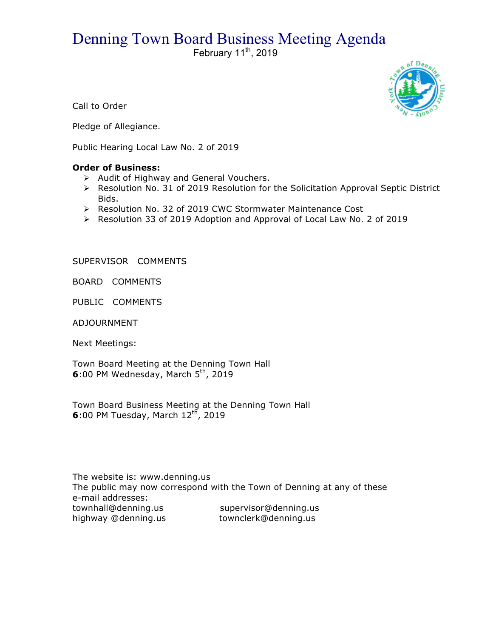## Denning Town Board Business Meeting Agenda

February  $11^{th}$ , 2019



Call to Order

Pledge of Allegiance.

Public Hearing Local Law No. 2 of 2019

## **Order of Business:**

- > Audit of Highway and General Vouchers.
- $\triangleright$  Resolution No. 31 of 2019 Resolution for the Solicitation Approval Septic District Bids.
- ▶ Resolution No. 32 of 2019 CWC Stormwater Maintenance Cost
- $\triangleright$  Resolution 33 of 2019 Adoption and Approval of Local Law No. 2 of 2019

SUPERVISOR COMMENTS

BOARD COMMENTS

PUBLIC COMMENTS

ADJOURNMENT

Next Meetings:

Town Board Meeting at the Denning Town Hall **6**:00 PM Wednesday, March 5<sup>th</sup>, 2019

Town Board Business Meeting at the Denning Town Hall **6**:00 PM Tuesday, March 12<sup>th</sup>, 2019

The website is: www.denning.us The public may now correspond with the Town of Denning at any of these e-mail addresses: townhall@denning.us supervisor@denning.us highway @denning.us townclerk@denning.us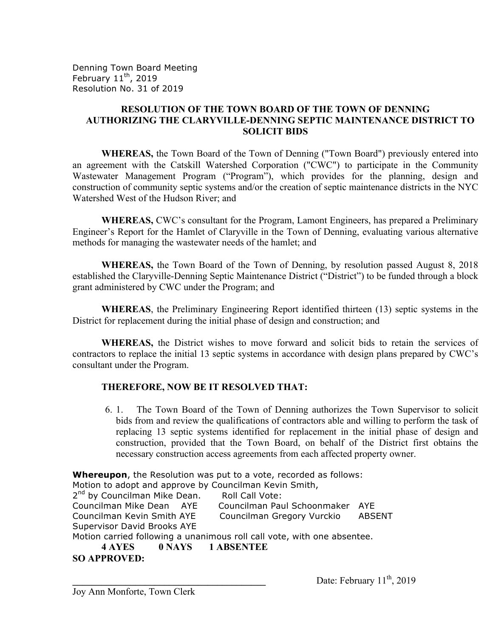Denning Town Board Meeting February  $11^{th}$ , 2019 Resolution No. 31 of 2019

## **RESOLUTION OF THE TOWN BOARD OF THE TOWN OF DENNING AUTHORIZING THE CLARYVILLE-DENNING SEPTIC MAINTENANCE DISTRICT TO SOLICIT BIDS**

**WHEREAS,** the Town Board of the Town of Denning ("Town Board") previously entered into an agreement with the Catskill Watershed Corporation ("CWC") to participate in the Community Wastewater Management Program ("Program"), which provides for the planning, design and construction of community septic systems and/or the creation of septic maintenance districts in the NYC Watershed West of the Hudson River; and

**WHEREAS,** CWC's consultant for the Program, Lamont Engineers, has prepared a Preliminary Engineer's Report for the Hamlet of Claryville in the Town of Denning, evaluating various alternative methods for managing the wastewater needs of the hamlet; and

**WHEREAS,** the Town Board of the Town of Denning, by resolution passed August 8, 2018 established the Claryville-Denning Septic Maintenance District ("District") to be funded through a block grant administered by CWC under the Program; and

**WHEREAS**, the Preliminary Engineering Report identified thirteen (13) septic systems in the District for replacement during the initial phase of design and construction; and

**WHEREAS,** the District wishes to move forward and solicit bids to retain the services of contractors to replace the initial 13 septic systems in accordance with design plans prepared by CWC's consultant under the Program.

## **THEREFORE, NOW BE IT RESOLVED THAT:**

6. 1. The Town Board of the Town of Denning authorizes the Town Supervisor to solicit bids from and review the qualifications of contractors able and willing to perform the task of replacing 13 septic systems identified for replacement in the initial phase of design and construction, provided that the Town Board, on behalf of the District first obtains the necessary construction access agreements from each affected property owner.

**Whereupon**, the Resolution was put to a vote, recorded as follows: Motion to adopt and approve by Councilman Kevin Smith, 2<sup>nd</sup> by Councilman Mike Dean. Roll Call Vote: Councilman Mike Dean AYE Councilman Paul Schoonmaker AYE Councilman Kevin Smith AYE Councilman Gregory Vurckio ABSENT Supervisor David Brooks AYE Motion carried following a unanimous roll call vote, with one absentee. **4 AYES 0 NAYS 1 ABSENTEE SO APPROVED:**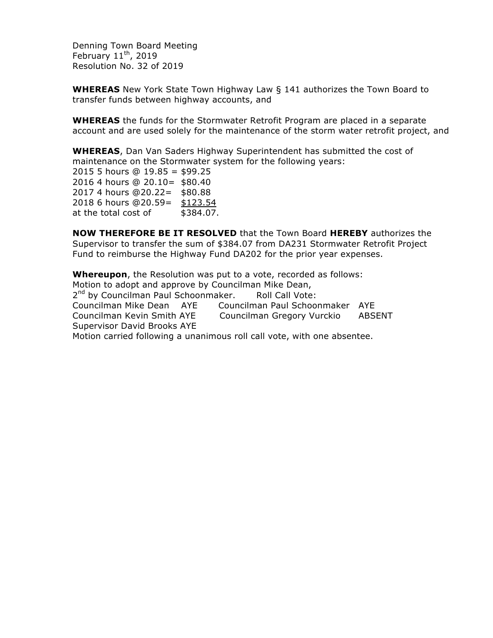Denning Town Board Meeting February  $11^{th}$ , 2019 Resolution No. 32 of 2019

**WHEREAS** New York State Town Highway Law § 141 authorizes the Town Board to transfer funds between highway accounts, and

**WHEREAS** the funds for the Stormwater Retrofit Program are placed in a separate account and are used solely for the maintenance of the storm water retrofit project, and

**WHEREAS**, Dan Van Saders Highway Superintendent has submitted the cost of maintenance on the Stormwater system for the following years:

2015 5 hours @ 19.85 = \$99.25 2016 4 hours @ 20.10= \$80.40 2017 4 hours @20.22= \$80.88 2018 6 hours @20.59= \$123.54 at the total cost of \$384.07.

**NOW THEREFORE BE IT RESOLVED** that the Town Board **HEREBY** authorizes the Supervisor to transfer the sum of \$384.07 from DA231 Stormwater Retrofit Project Fund to reimburse the Highway Fund DA202 for the prior year expenses.

**Whereupon**, the Resolution was put to a vote, recorded as follows: Motion to adopt and approve by Councilman Mike Dean, 2<sup>nd</sup> by Councilman Paul Schoonmaker. Roll Call Vote: Councilman Mike Dean AYE Councilman Paul Schoonmaker AYE Councilman Kevin Smith AYE Councilman Gregory Vurckio ABSENT Supervisor David Brooks AYE Motion carried following a unanimous roll call vote, with one absentee.